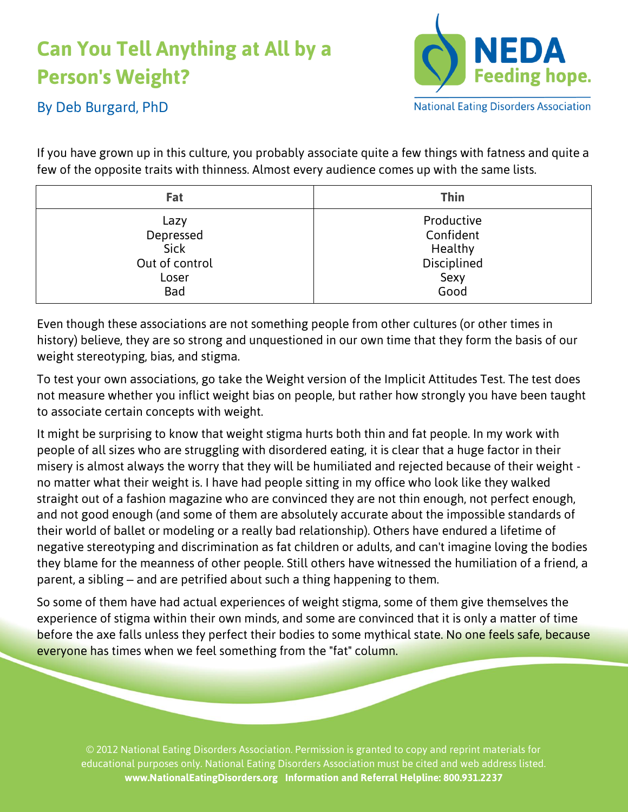## **Can You Tell Anything at All by a Person's Weight?**



By Deb Burgard, PhD

If you have grown up in this culture, you probably associate quite a few things with fatness and quite a few of the opposite traits with thinness. Almost every audience comes up with the same lists.

| Fat            | <b>Thin</b>        |
|----------------|--------------------|
| Lazy           | Productive         |
| Depressed      | Confident          |
| <b>Sick</b>    | Healthy            |
| Out of control | <b>Disciplined</b> |
| Loser          | Sexy               |
| Bad            | Good               |

Even though these associations are not something people from other cultures (or other times in history) believe, they are so strong and unquestioned in our own time that they form the basis of our weight stereotyping, bias, and stigma.

To test your own associations, go take the Weight version of the Implicit Attitudes Test. The test does not measure whether you inflict weight bias on people, but rather how strongly you have been taught to associate certain concepts with weight.

It might be surprising to know that weight stigma hurts both thin and fat people. In my work with people of all sizes who are struggling with disordered eating, it is clear that a huge factor in their misery is almost always the worry that they will be humiliated and rejected because of their weight no matter what their weight is. I have had people sitting in my office who look like they walked straight out of a fashion magazine who are convinced they are not thin enough, not perfect enough, and not good enough (and some of them are absolutely accurate about the impossible standards of their world of ballet or modeling or a really bad relationship). Others have endured a lifetime of negative stereotyping and discrimination as fat children or adults, and can't imagine loving the bodies they blame for the meanness of other people. Still others have witnessed the humiliation of a friend, a parent, a sibling – and are petrified about such a thing happening to them.

So some of them have had actual experiences of weight stigma, some of them give themselves the experience of stigma within their own minds, and some are convinced that it is only a matter of time before the axe falls unless they perfect their bodies to some mythical state. No one feels safe, because everyone has times when we feel something from the "fat" column.

© 2012 National Eating Disorders Association. Permission is granted to copy and reprint materials for educational purposes only. National Eating Disorders Association must be cited and web address listed. **www.NationalEatingDisorders.org Information and Referral Helpline: 800.931.2237**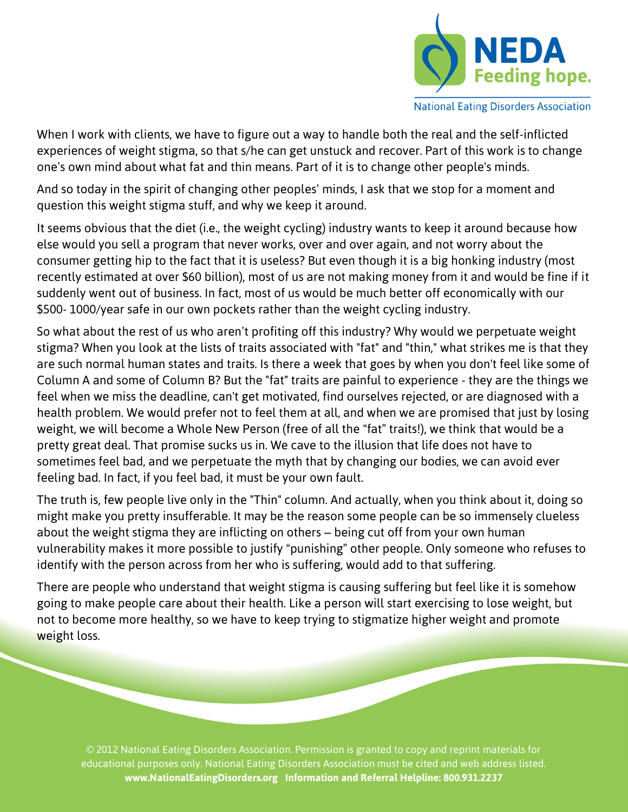

**National Eating Disorders Association** 

When I work with clients, we have to figure out a way to handle both the real and the self-inflicted experiences of weight stigma, so that s/he can get unstuck and recover. Part of this work is to change one's own mind about what fat and thin means. Part of it is to change other people's minds.

And so today in the spirit of changing other peoples' minds, I ask that we stop for a moment and question this weight stigma stuff, and why we keep it around.

It seems obvious that the diet (i.e., the weight cycling) industry wants to keep it around because how else would you sell a program that never works, over and over again, and not worry about the consumer getting hip to the fact that it is useless? But even though it is a big honking industry (most recently estimated at over \$60 billion), most of us are not making money from it and would be fine if it suddenly went out of business. In fact, most of us would be much better off economically with our \$500- 1000/year safe in our own pockets rather than the weight cycling industry.

So what about the rest of us who aren't profiting off this industry? Why would we perpetuate weight stigma? When you look at the lists of traits associated with "fat" and "thin," what strikes me is that they are such normal human states and traits. Is there a week that goes by when you don't feel like some of Column A and some of Column B? But the "fat" traits are painful to experience - they are the things we feel when we miss the deadline, can't get motivated, find ourselves rejected, or are diagnosed with a health problem. We would prefer not to feel them at all, and when we are promised that just by losing weight, we will become a Whole New Person (free of all the "fat" traits!), we think that would be a pretty great deal. That promise sucks us in. We cave to the illusion that life does not have to sometimes feel bad, and we perpetuate the myth that by changing our bodies, we can avoid ever feeling bad. In fact, if you feel bad, it must be your own fault.

The truth is, few people live only in the "Thin" column. And actually, when you think about it, doing so might make you pretty insufferable. It may be the reason some people can be so immensely clueless about the weight stigma they are inflicting on others – being cut off from your own human vulnerability makes it more possible to justify "punishing" other people. Only someone who refuses to identify with the person across from her who is suffering, would add to that suffering.

There are people who understand that weight stigma is causing suffering but feel like it is somehow going to make people care about their health. Like a person will start exercising to lose weight, but not to become more healthy, so we have to keep trying to stigmatize higher weight and promote weight loss.

© 2012 National Eating Disorders Association. Permission is granted to copy and reprint materials for educational purposes only. National Eating Disorders Association must be cited and web address listed. **www.NationalEatingDisorders.org Information and Referral Helpline: 800.931.2237**